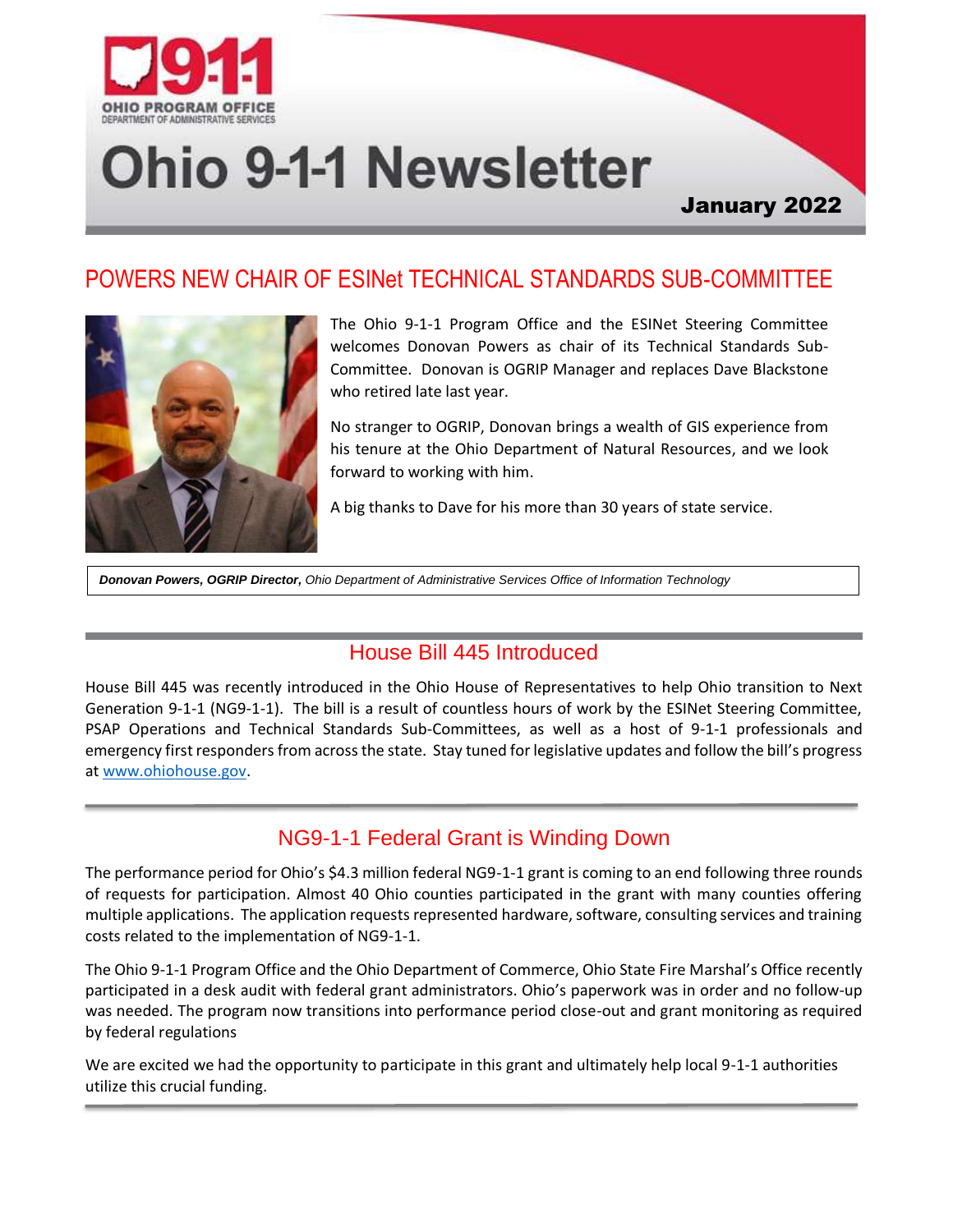

# **Ohio 9-1-1 Newsletter**

# January 2022

# POWERS NEW CHAIR OF ESINet TECHNICAL STANDARDS SUB-COMMITTEE



The Ohio 9-1-1 Program Office and the ESINet Steering Committee welcomes Donovan Powers as chair of its Technical Standards Sub-Committee. Donovan is OGRIP Manager and replaces Dave Blackstone who retired late last year.

No stranger to OGRIP, Donovan brings a wealth of GIS experience from his tenure at the Ohio Department of Natural Resources, and we look forward to working with him.

A big thanks to Dave for his more than 30 years of state service.

*Donovan Powers, OGRIP Director, Ohio Department of Administrative Services Office of Information Technology*

## House Bill 445 Introduced

House Bill 445 was recently introduced in the Ohio House of Representatives to help Ohio transition to Next Generation 9-1-1 (NG9-1-1). The bill is a result of countless hours of work by the ESINet Steering Committee, PSAP Operations and Technical Standards Sub-Committees, as well as a host of 9-1-1 professionals and emergency first responders from across the state. Stay tuned for legislative updates and follow the bill's progress at [www.ohiohouse.gov.](http://www.ohiohouse.gov/)

## NG9-1-1 Federal Grant is Winding Down

The performance period for Ohio's \$4.3 million federal NG9-1-1 grant is coming to an end following three rounds of requests for participation. Almost 40 Ohio counties participated in the grant with many counties offering multiple applications. The application requests represented hardware, software, consulting services and training costs related to the implementation of NG9-1-1.

The Ohio 9-1-1 Program Office and the Ohio Department of Commerce, Ohio State Fire Marshal's Office recently participated in a desk audit with federal grant administrators. Ohio's paperwork was in order and no follow-up was needed. The program now transitions into performance period close-out and grant monitoring as required by federal regulations

We are excited we had the opportunity to participate in this grant and ultimately help local 9-1-1 authorities utilize this crucial funding.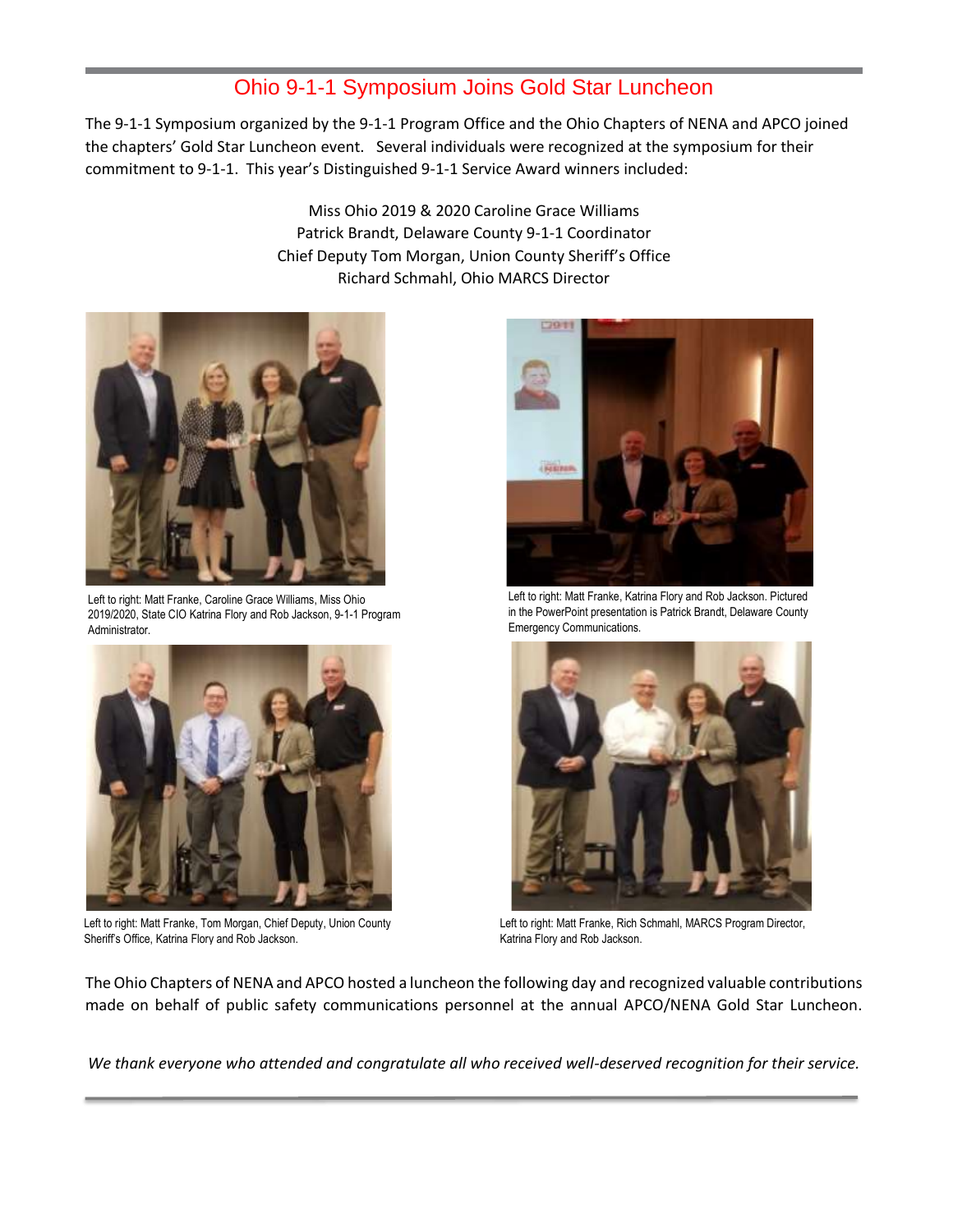#### Ohio 9-1-1 Symposium Joins Gold Star Luncheon

The 9-1-1 Symposium organized by the 9-1-1 Program Office and the Ohio Chapters of NENA and APCO joined the chapters' Gold Star Luncheon event. Several individuals were recognized at the symposium for their commitment to 9-1-1. This year's Distinguished 9-1-1 Service Award winners included:

> Miss Ohio 2019 & 2020 Caroline Grace Williams Patrick Brandt, Delaware County 9-1-1 Coordinator Chief Deputy Tom Morgan, Union County Sheriff's Office Richard Schmahl, Ohio MARCS Director



Left to right: Matt Franke, Caroline Grace Williams, Miss Ohio 2019/2020, State CIO Katrina Flory and Rob Jackson, 9-1-1 Program Administrator.



Left to right: Matt Franke, Tom Morgan, Chief Deputy, Union County Sheriff's Office, Katrina Flory and Rob Jackson.



Left to right: Matt Franke, Katrina Flory and Rob Jackson. Pictured in the PowerPoint presentation is Patrick Brandt, Delaware County Emergency Communications.



Left to right: Matt Franke, Rich Schmahl, MARCS Program Director, Katrina Flory and Rob Jackson.

The Ohio Chapters of NENA and APCO hosted a luncheon the following day and recognized valuable contributions made on behalf of public safety communications personnel at the annual APCO/NENA Gold Star Luncheon.

*We thank everyone who attended and congratulate all who received well-deserved recognition for their service.*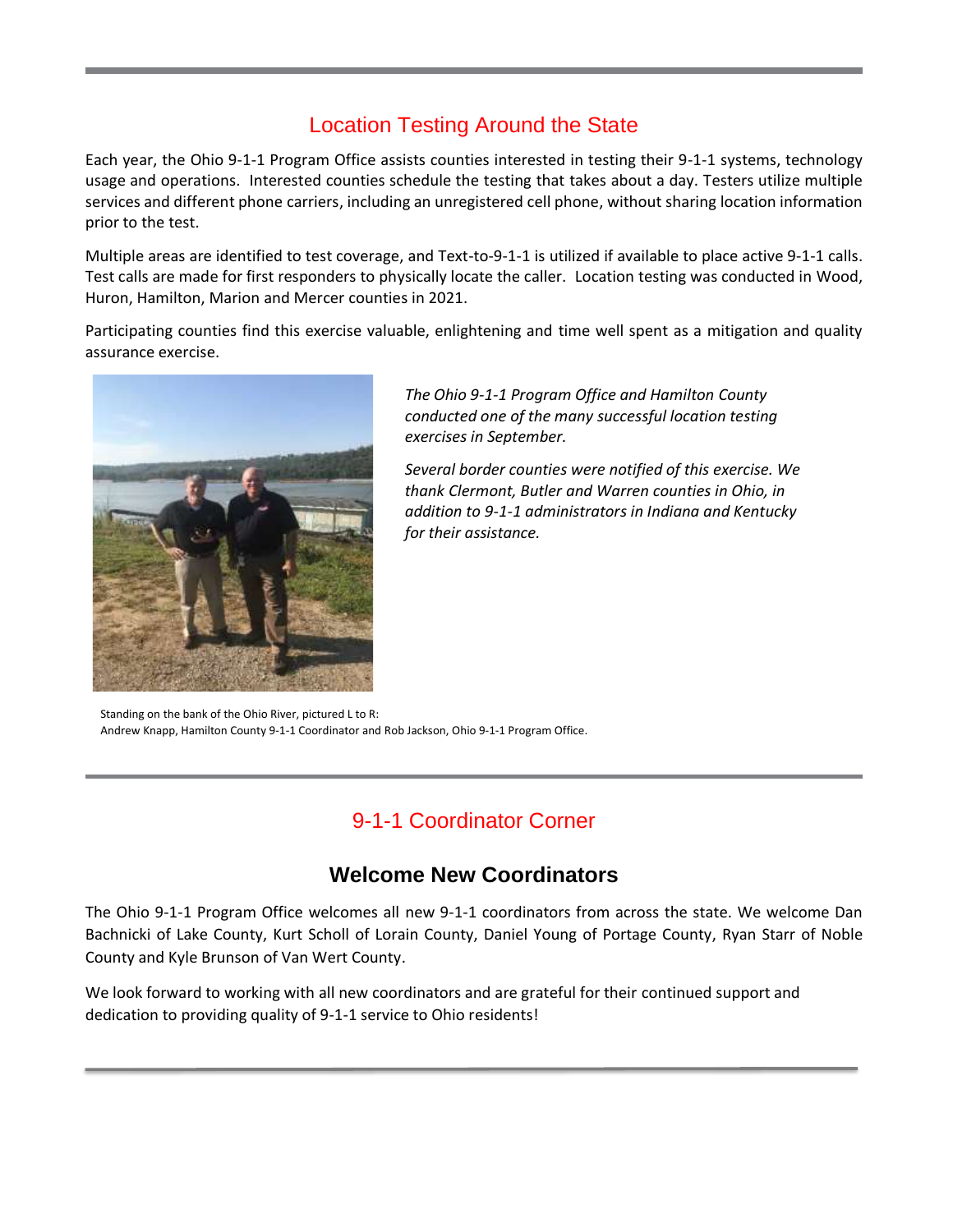# Location Testing Around the State

Each year, the Ohio 9-1-1 Program Office assists counties interested in testing their 9-1-1 systems, technology usage and operations. Interested counties schedule the testing that takes about a day. Testers utilize multiple services and different phone carriers, including an unregistered cell phone, without sharing location information prior to the test.

Multiple areas are identified to test coverage, and Text-to-9-1-1 is utilized if available to place active 9-1-1 calls. Test calls are made for first responders to physically locate the caller. Location testing was conducted in Wood, Huron, Hamilton, Marion and Mercer counties in 2021.

Participating counties find this exercise valuable, enlightening and time well spent as a mitigation and quality assurance exercise.



*The Ohio 9-1-1 Program Office and Hamilton County conducted one of the many successful location testing exercises in September.*

*Several border counties were notified of this exercise. We thank Clermont, Butler and Warren counties in Ohio, in addition to 9-1-1 administrators in Indiana and Kentucky for their assistance.*

Standing on the bank of the Ohio River, pictured L to R: Andrew Knapp, Hamilton County 9-1-1 Coordinator and Rob Jackson, Ohio 9-1-1 Program Office.

# 9-1-1 Coordinator Corner

## **Welcome New Coordinators**

The Ohio 9-1-1 Program Office welcomes all new 9-1-1 coordinators from across the state. We welcome Dan Bachnicki of Lake County, Kurt Scholl of Lorain County, Daniel Young of Portage County, Ryan Starr of Noble County and Kyle Brunson of Van Wert County.

We look forward to working with all new coordinators and are grateful for their continued support and dedication to providing quality of 9-1-1 service to Ohio residents!